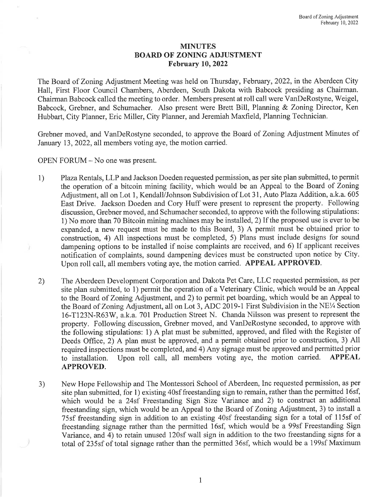## MINUTES BOARD OF ZONING ADJUSTMENT February 10, 2022

The Board of Zoning Adjustment Meeting was held on Thursday, February, 2022, in the Aberdeen City Hall, First Floor Council Chambers, Aberdeen, South Dakota with Babcock presiding as Chairman. Chairman Babcock called the meeting to order. Members present at roll call were VanDeRostyne, Weigel, Babcock, Grebner, and Schumacher. Also present were Brett Bill, Planning & Zoning Director, Ken Hubbart, City Planner, Eric Miller, City Planner, and Jeremiah Maxfield, Planning Technician.

Grebner moved, and VanDeRostyne seconded, to approve the Board of Zoning Adjustment Minutes of January 13, 2022, all members voting aye, the motion carried.

OPEN FORUM - No one was present.

- 1) Plaza Rentals, LLP and Jackson Doeden requested permission, as per site plan submitted, to permit the operation of <sup>a</sup> bitcoin mining facility, which would be an Appeal to the Board of Zoning Adjustment, all on Lot 1, Kendall/Johnson Subdivision of Lot 31, Auto Plaza Addition, a.k.a. <sup>605</sup> East Drive. Jackson Doeden and Cory Huff were present to represent the property. Following discussion, Grebner moved, and Schumacher seconded, to approve with the following stipulations: 1) No more than 70 Bitcoin mining machines may be installed, 2) If the proposed use is ever to be expanded, <sup>a</sup> new request must be made to this Board, 3) <sup>A</sup> permit must be obtained prior to construction, 4) All inspections must be completed, 5) Plans must include designs for sound dampening options to be installed if noise complaints are received, and 6) If applicant receives notification of complaints, sound dampening devices must be constructed upon notice by City. Upon roll call, all members voting aye, the motion carried. APPEAL APPROVED.
- 2) The Aberdeen Development Corporation and Dakota Pet Care, LLC requested permission, as per site plan submitted, to 1) permit the operation of <sup>a</sup> Veterinary Clinic, which would be an Appeal to the Board of Zoning Adjustment, and 2) to permit pet boarding, which would be an Appeal to the Board of Zoning Adjustment, all on Lot 3, ADC 2019-1 First Subdivision in the NE<sup>1</sup>/4 Section 16-T123N-R63W, a.k.a. 701 Production Street N. Chanda Nilsson was present to represent the property. Following discussion, Grebner moved, and VanDeRostyne seconded, to approve with the following stipulations: 1) <sup>A</sup> plat must be submitted, approved, and filed with the Register of Deeds Office, 2) <sup>A</sup> plan must be approved, and <sup>a</sup> permit obtained prior to construction, 3) All required inspections must be completed, and 4) Any signage must be approved and permitted prior to installation. Upon roll call, all members voting aye, the motion carried. APPEAL APPROVED.
- 3) New Hope Fellowship and The Montessori School of Aberdeen, Inc requested permission, as per site plan submitted, for 1) existing 40sf freestanding sign to remain, rather than the permitted 16sf, which would be a 24sf Freestanding Sign Size Variance and 2) to construct an additional freestanding sign, which would be an Appeal to the Board of Zoning Adjustment, 3) to install <sup>a</sup> <sup>75</sup> sf freestanding sign in addition to an existing 40sf freestanding sign for <sup>a</sup> total of <sup>1</sup> 15sf of freestanding signage rather than the permitted 16sf, which would be <sup>a</sup> 99sf Freestanding Sign Variance, and 4) to retain unused 120sf wall sign in addition to the two freestanding signs for <sup>a</sup> total of 235sf of total signage rather than the permitted 36sf, which would be <sup>a</sup> 199sf Maximum